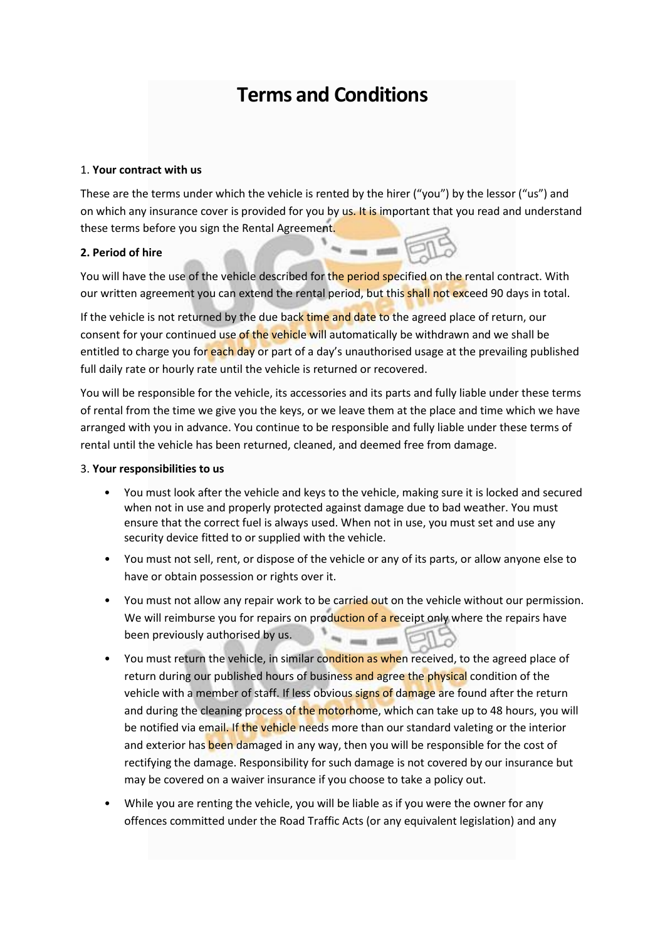# **Terms and Conditions**

#### 1. **Your contract with us**

These are the terms under which the vehicle is rented by the hirer ("you") by the lessor ("us") and on which any insurance cover is provided for you by us. It is important that you read and understand these terms before you sign the Rental Agreement.

## **2. Period of hire**

You will have the use of the vehicle described for the period specified on the rental contract. With our written agreement you can extend the rental period, but this shall not exceed 90 days in total.

If the vehicle is not returned by the due back time and date to the agreed place of return, our consent for your continued use of the vehicle will automatically be withdrawn and we shall be entitled to charge you for each day or part of a day's unauthorised usage at the prevailing published full daily rate or hourly rate until the vehicle is returned or recovered.

You will be responsible for the vehicle, its accessories and its parts and fully liable under these terms of rental from the time we give you the keys, or we leave them at the place and time which we have arranged with you in advance. You continue to be responsible and fully liable under these terms of rental until the vehicle has been returned, cleaned, and deemed free from damage.

#### 3. **Your responsibilities to us**

- You must look after the vehicle and keys to the vehicle, making sure it is locked and secured when not in use and properly protected against damage due to bad weather. You must ensure that the correct fuel is always used. When not in use, you must set and use any security device fitted to or supplied with the vehicle.
- You must not sell, rent, or dispose of the vehicle or any of its parts, or allow anyone else to have or obtain possession or rights over it.
- You must not allow any repair work to be carried out on the vehicle without our permission. We will reimburse you for repairs on production of a receipt only where the repairs have been previously authorised by us.  $= - 0$
- You must return the vehicle, in similar condition as when received, to the agreed place of return during our published hours of business and agree the physical condition of the vehicle with a member of staff. If less obvious signs of damage are found after the return and during the cleaning process of the motorhome, which can take up to 48 hours, you will be notified via email. If the vehicle needs more than our standard valeting or the interior and exterior has been damaged in any way, then you will be responsible for the cost of rectifying the damage. Responsibility for such damage is not covered by our insurance but may be covered on a waiver insurance if you choose to take a policy out.
- While you are renting the vehicle, you will be liable as if you were the owner for any offences committed under the Road Traffic Acts (or any equivalent legislation) and any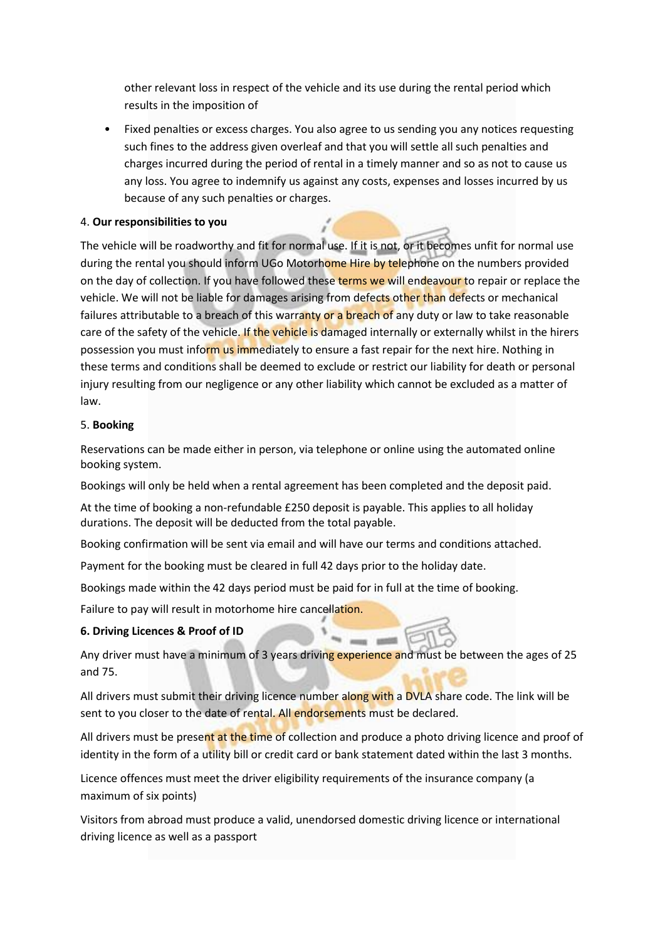other relevant loss in respect of the vehicle and its use during the rental period which results in the imposition of

• Fixed penalties or excess charges. You also agree to us sending you any notices requesting such fines to the address given overleaf and that you will settle all such penalties and charges incurred during the period of rental in a timely manner and so as not to cause us any loss. You agree to indemnify us against any costs, expenses and losses incurred by us because of any such penalties or charges.

## 4. **Our responsibilities to you**

The vehicle will be roadworthy and fit for normal use. If it is not, or it becomes unfit for normal use during the rental you should inform UGo Motorhome Hire by telephone on the numbers provided on the day of collection. If you have followed these terms we will endeavour to repair or replace the vehicle. We will not be liable for damages arising from defects other than defects or mechanical failures attributable to a breach of this warranty or a breach of any duty or law to take reasonable care of the safety of the vehicle. If the vehicle is damaged internally or externally whilst in the hirers possession you must inform us immediately to ensure a fast repair for the next hire. Nothing in these terms and conditions shall be deemed to exclude or restrict our liability for death or personal injury resulting from our negligence or any other liability which cannot be excluded as a matter of law.

## 5. **Booking**

Reservations can be made either in person, via telephone or online using the automated online booking system.

Bookings will only be held when a rental agreement has been completed and the deposit paid.

At the time of booking a non-refundable £250 deposit is payable. This applies to all holiday durations. The deposit will be deducted from the total payable.

Booking confirmation will be sent via email and will have our terms and conditions attached.

Payment for the booking must be cleared in full 42 days prior to the holiday date.

Bookings made within the 42 days period must be paid for in full at the time of booking.

Failure to pay will result in motorhome hire cancellation.

## **6. Driving Licences & Proof of ID**

Any driver must have a minimum of 3 years driving experience and must be between the ages of 25 and 75.

All drivers must submit their driving licence number along with a DVLA share code. The link will be sent to you closer to the date of rental. All endorsements must be declared.

All drivers must be present at the time of collection and produce a photo driving licence and proof of identity in the form of a utility bill or credit card or bank statement dated within the last 3 months.

Licence offences must meet the driver eligibility requirements of the insurance company (a maximum of six points)

Visitors from abroad must produce a valid, unendorsed domestic driving licence or international driving licence as well as a passport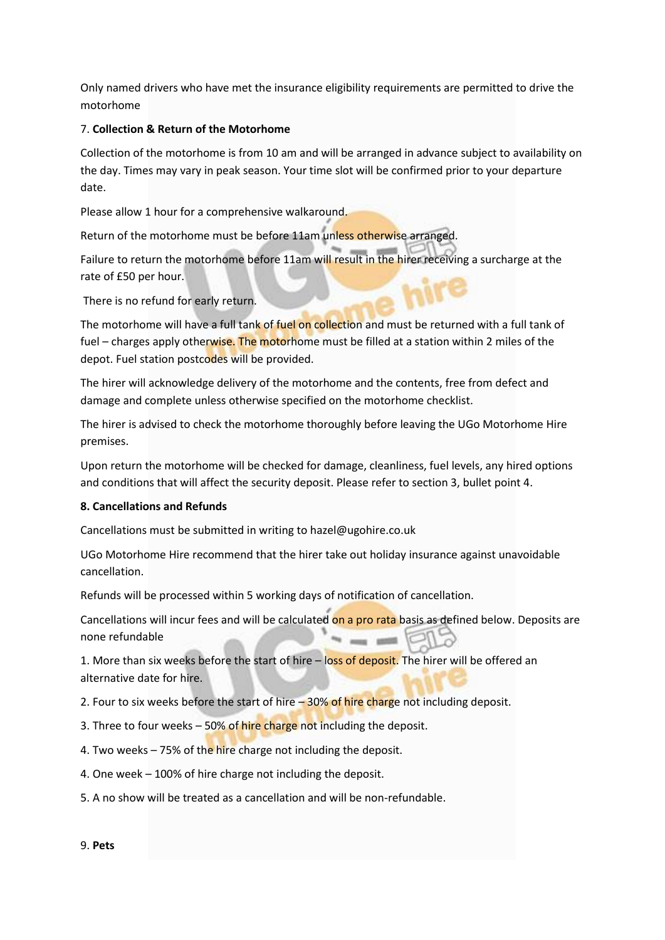Only named drivers who have met the insurance eligibility requirements are permitted to drive the motorhome

#### 7. **Collection & Return of the Motorhome**

Collection of the motorhome is from 10 am and will be arranged in advance subject to availability on the day. Times may vary in peak season. Your time slot will be confirmed prior to your departure date.

Please allow 1 hour for a comprehensive walkaround.

Return of the motorhome must be before 11am unless otherwise arranged.

Failure to return the motorhome before 11am will result in the hirer receiving a surcharge at the rate of £50 per hour.

There is no refund for early return.

The motorhome will have a full tank of fuel on collection and must be returned with a full tank of fuel – charges apply otherwise. The motorhome must be filled at a station within 2 miles of the depot. Fuel station postcodes will be provided.

The hirer will acknowledge delivery of the motorhome and the contents, free from defect and damage and complete unless otherwise specified on the motorhome checklist.

The hirer is advised to check the motorhome thoroughly before leaving the UGo Motorhome Hire premises.

Upon return the motorhome will be checked for damage, cleanliness, fuel levels, any hired options and conditions that will affect the security deposit. Please refer to section 3, bullet point 4.

#### **8. Cancellations and Refunds**

Cancellations must be submitted in writing to hazel@ugohire.co.uk

UGo Motorhome Hire recommend that the hirer take out holiday insurance against unavoidable cancellation.

Refunds will be processed within 5 working days of notification of cancellation.

Cancellations will incur fees and will be calculated on a pro rata basis as defined below. Deposits are none refundable

1. More than six weeks before the start of hire - loss of deposit. The hirer will be offered an alternative date for hire.

2. Four to six weeks before the start of hire  $-30\%$  of hire charge not including deposit.

3. Three to four weeks – 50% of hire charge not including the deposit.

- 4. Two weeks  $-75%$  of the hire charge not including the deposit.
- 4. One week 100% of hire charge not including the deposit.
- 5. A no show will be treated as a cancellation and will be non-refundable.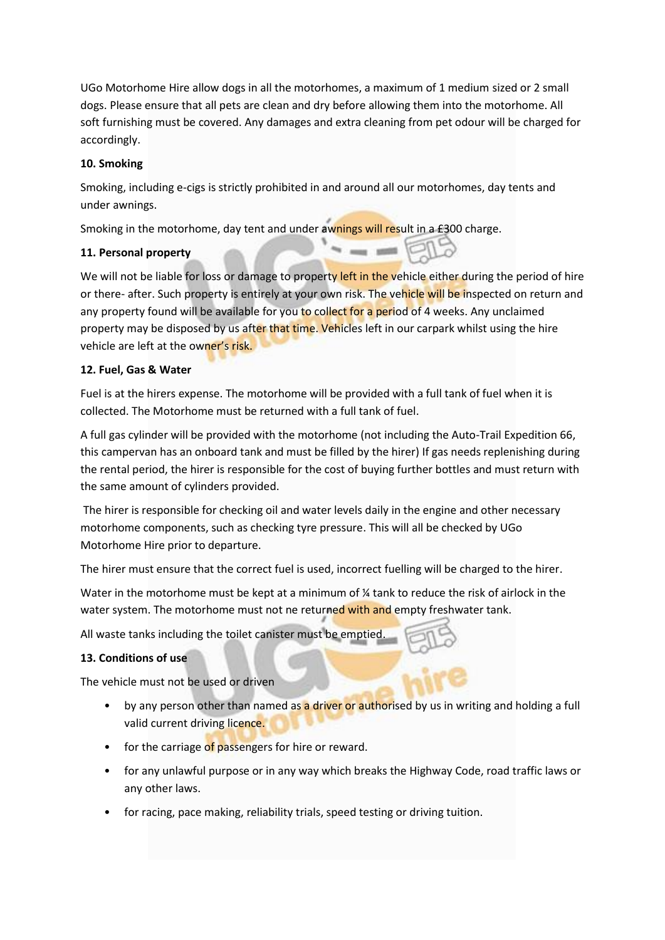UGo Motorhome Hire allow dogs in all the motorhomes, a maximum of 1 medium sized or 2 small dogs. Please ensure that all pets are clean and dry before allowing them into the motorhome. All soft furnishing must be covered. Any damages and extra cleaning from pet odour will be charged for accordingly.

## **10. Smoking**

Smoking, including e-cigs is strictly prohibited in and around all our motorhomes, day tents and under awnings.

Smoking in the motorhome, day tent and under awnings will result in a £300 charge.

# **11. Personal property**

We will not be liable for loss or damage to property left in the vehicle either during the period of hire or there- after. Such property is entirely at your own risk. The vehicle will be inspected on return and any property found will be available for you to collect for a period of 4 weeks. Any unclaimed property may be disposed by us after that time. Vehicles left in our carpark whilst using the hire vehicle are left at the owner's risk.

# **12. Fuel, Gas & Water**

Fuel is at the hirers expense. The motorhome will be provided with a full tank of fuel when it is collected. The Motorhome must be returned with a full tank of fuel.

A full gas cylinder will be provided with the motorhome (not including the Auto-Trail Expedition 66, this campervan has an onboard tank and must be filled by the hirer) If gas needs replenishing during the rental period, the hirer is responsible for the cost of buying further bottles and must return with the same amount of cylinders provided.

The hirer is responsible for checking oil and water levels daily in the engine and other necessary motorhome components, such as checking tyre pressure. This will all be checked by UGo Motorhome Hire prior to departure.

The hirer must ensure that the correct fuel is used, incorrect fuelling will be charged to the hirer.

Water in the motorhome must be kept at a minimum of  $\frac{1}{4}$  tank to reduce the risk of airlock in the water system. The motorhome must not ne returned with and empty freshwater tank.

All waste tanks including the toilet canister must be emptied.

# **13. Conditions of use**

The vehicle must not be used or driven

- by any person other than named as a driver or authorised by us in writing and holding a full valid current driving licence.
- for the carriage of passengers for hire or reward.
- for any unlawful purpose or in any way which breaks the Highway Code, road traffic laws or any other laws.
- for racing, pace making, reliability trials, speed testing or driving tuition.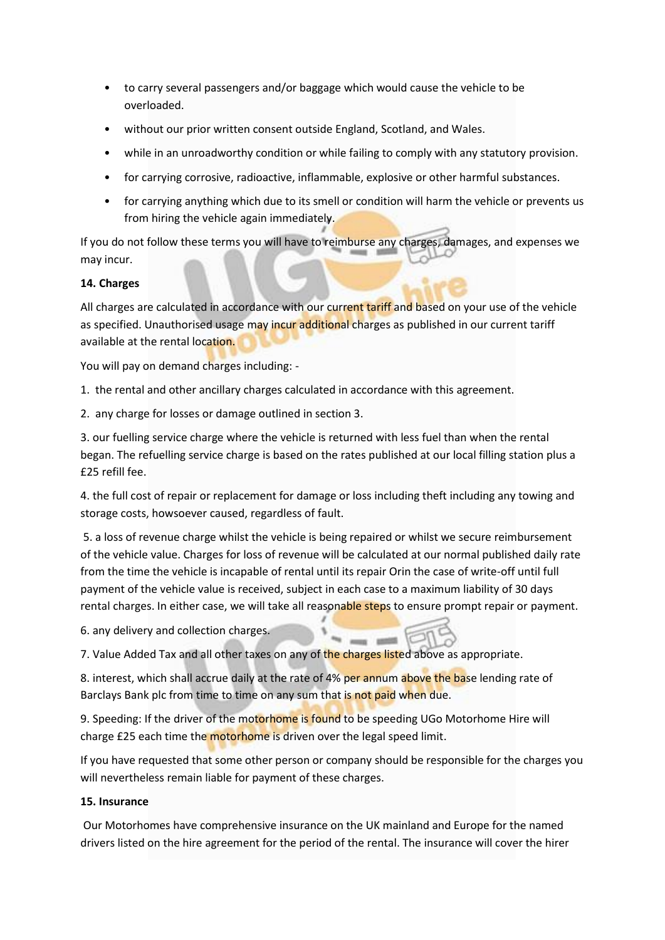- to carry several passengers and/or baggage which would cause the vehicle to be overloaded.
- without our prior written consent outside England, Scotland, and Wales.
- while in an unroadworthy condition or while failing to comply with any statutory provision.
- for carrying corrosive, radioactive, inflammable, explosive or other harmful substances.
- for carrying anything which due to its smell or condition will harm the vehicle or prevents us from hiring the vehicle again immediately.

If you do not follow these terms you will have to reimburse any charges, damages, and expenses we may incur.

# **14. Charges**

All charges are calculated in accordance with our current tariff and based on your use of the vehicle as specified. Unauthorised usage may incur additional charges as published in our current tariff available at the rental location.

You will pay on demand charges including: -

1. the rental and other ancillary charges calculated in accordance with this agreement.

2. any charge for losses or damage outlined in section 3.

3. our fuelling service charge where the vehicle is returned with less fuel than when the rental began. The refuelling service charge is based on the rates published at our local filling station plus a £25 refill fee.

4. the full cost of repair or replacement for damage or loss including theft including any towing and storage costs, howsoever caused, regardless of fault.

5. a loss of revenue charge whilst the vehicle is being repaired or whilst we secure reimbursement of the vehicle value. Charges for loss of revenue will be calculated at our normal published daily rate from the time the vehicle is incapable of rental until its repair Orin the case of write-off until full payment of the vehicle value is received, subject in each case to a maximum liability of 30 days rental charges. In either case, we will take all reasonable steps to ensure prompt repair or payment.

 $=$   $=$   $\frac{1}{2}$ 

6. any delivery and collection charges.

7. Value Added Tax and all other taxes on any of the charges listed above as appropriate.

8. interest, which shall accrue daily at the rate of 4% per annum above the base lending rate of Barclays Bank plc from time to time on any sum that is not paid when due.

9. Speeding: If the driver of the motorhome is found to be speeding UGo Motorhome Hire will charge £25 each time the motorhome is driven over the legal speed limit.

If you have requested that some other person or company should be responsible for the charges you will nevertheless remain liable for payment of these charges.

## **15. Insurance**

Our Motorhomes have comprehensive insurance on the UK mainland and Europe for the named drivers listed on the hire agreement for the period of the rental. The insurance will cover the hirer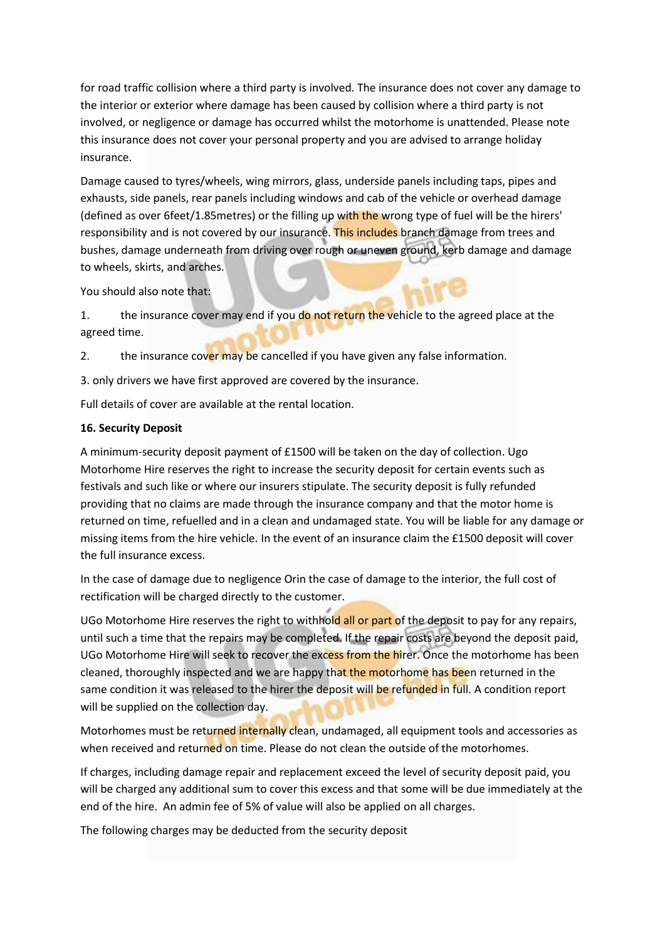for road traffic collision where a third party is involved. The insurance does not cover any damage to the interior or exterior where damage has been caused by collision where a third party is not involved, or negligence or damage has occurred whilst the motorhome is unattended. Please note this insurance does not cover your personal property and you are advised to arrange holiday insurance.

Damage caused to tyres/wheels, wing mirrors, glass, underside panels including taps, pipes and exhausts, side panels, rear panels including windows and cab of the vehicle or overhead damage (defined as over 6feet/1.85metres) or the filling up with the wrong type of fuel will be the hirers' responsibility and is not covered by our insurance. This includes branch damage from trees and bushes, damage underneath from driving over rough or uneven ground, kerb damage and damage to wheels, skirts, and arches.

You should also note that:

1. the insurance cover may end if you do not return the vehicle to the agreed place at the agreed time.

2. the insurance cover may be cancelled if you have given any false information.

3. only drivers we have first approved are covered by the insurance.

Full details of cover are available at the rental location.

#### **16. Security Deposit**

A minimum-security deposit payment of £1500 will be taken on the day of collection. Ugo Motorhome Hire reserves the right to increase the security deposit for certain events such as festivals and such like or where our insurers stipulate. The security deposit is fully refunded providing that no claims are made through the insurance company and that the motor home is returned on time, refuelled and in a clean and undamaged state. You will be liable for any damage or missing items from the hire vehicle. In the event of an insurance claim the £1500 deposit will cover the full insurance excess.

In the case of damage due to negligence Orin the case of damage to the interior, the full cost of rectification will be charged directly to the customer.

UGo Motorhome Hire reserves the right to withhold all or part of the deposit to pay for any repairs, until such a time that the repairs may be completed. If the repair costs are beyond the deposit paid, UGo Motorhome Hire will seek to recover the excess from the hirer. Once the motorhome has been cleaned, thoroughly inspected and we are happy that the motorhome has been returned in the same condition it was released to the hirer the deposit will be refunded in full. A condition report will be supplied on the collection day.

Motorhomes must be returned internally clean, undamaged, all equipment tools and accessories as when received and returned on time. Please do not clean the outside of the motorhomes.

If charges, including damage repair and replacement exceed the level of security deposit paid, you will be charged any additional sum to cover this excess and that some will be due immediately at the end of the hire. An admin fee of 5% of value will also be applied on all charges.

The following charges may be deducted from the security deposit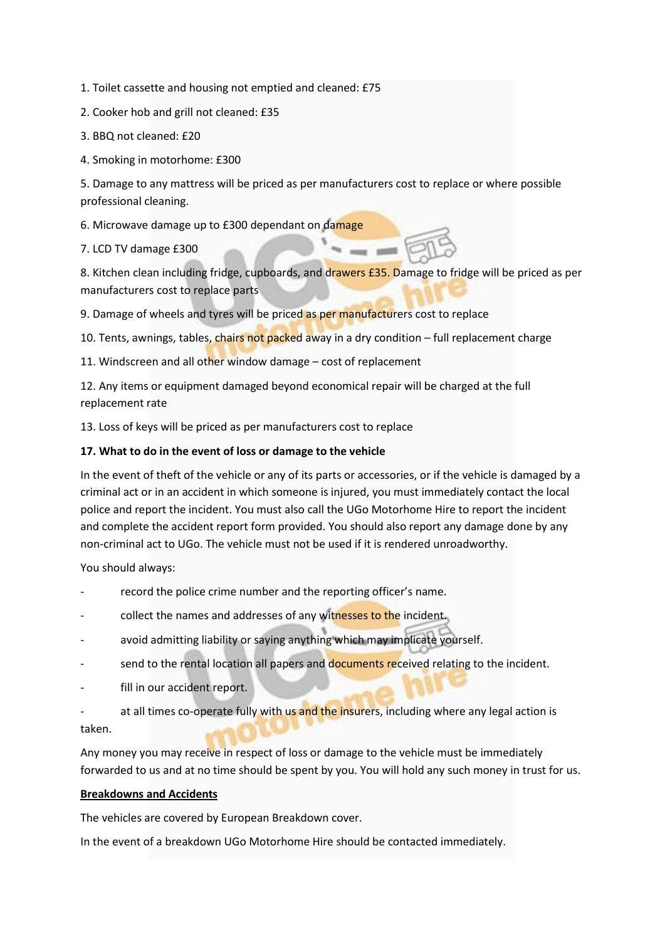1. Toilet cassette and housing not emptied and cleaned: £75

2. Cooker hob and grill not cleaned: £35

- 3. BBQ not cleaned: £20
- 4. Smoking in motorhome: £300

5. Damage to any mattress will be priced as per manufacturers cost to replace or where possible professional cleaning.

6. Microwave damage up to £300 dependant on damage

7. LCD TV damage £300

8. Kitchen clean including fridge, cupboards, and drawers £35. Damage to fridge will be priced as per manufacturers cost to replace parts

9. Damage of wheels and tyres will be priced as per manufacturers cost to replace

10. Tents, awnings, tables, chairs not packed away in a dry condition - full replacement charge

11. Windscreen and all other window damage – cost of replacement

12. Any items or equipment damaged beyond economical repair will be charged at the full replacement rate

13. Loss of keys will be priced as per manufacturers cost to replace

#### **17. What to do in the event of loss or damage to the vehicle**

In the event of theft of the vehicle or any of its parts or accessories, or if the vehicle is damaged by a criminal act or in an accident in which someone is injured, you must immediately contact the local police and report the incident. You must also call the UGo Motorhome Hire to report the incident and complete the accident report form provided. You should also report any damage done by any non-criminal act to UGo. The vehicle must not be used if it is rendered unroadworthy.

You should always:

- record the police crime number and the reporting officer's name.
- collect the names and addresses of any witnesses to the incident.
- avoid admitting liability or saying anything which may implicate yourself.
- send to the rental location all papers and documents received relating to the incident.
- fill in our accident report.

at all times co-operate fully with us and the insurers, including where any legal action is taken.

Any money you may receive in respect of loss or damage to the vehicle must be immediately forwarded to us and at no time should be spent by you. You will hold any such money in trust for us.

#### **Breakdowns and Accidents**

The vehicles are covered by European Breakdown cover.

In the event of a breakdown UGo Motorhome Hire should be contacted immediately.